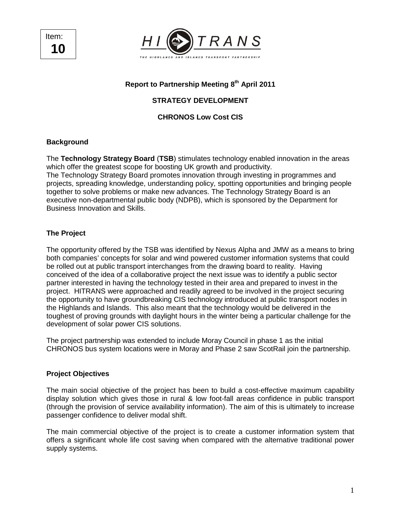Item: **10** 



# **Report to Partnership Meeting 8th April 2011**

# **STRATEGY DEVELOPMENT**

**CHRONOS Low Cost CIS** 

### **Background**

The **Technology Strategy Board** (**TSB**) stimulates technology enabled innovation in the areas which offer the greatest scope for boosting UK growth and productivity.

The Technology Strategy Board promotes innovation through investing in programmes and projects, spreading knowledge, understanding policy, spotting opportunities and bringing people together to solve problems or make new advances. The Technology Strategy Board is an executive non-departmental public body (NDPB), which is sponsored by the Department for Business Innovation and Skills.

#### **The Project**

The opportunity offered by the TSB was identified by Nexus Alpha and JMW as a means to bring both companies' concepts for solar and wind powered customer information systems that could be rolled out at public transport interchanges from the drawing board to reality. Having conceived of the idea of a collaborative project the next issue was to identify a public sector partner interested in having the technology tested in their area and prepared to invest in the project. HITRANS were approached and readily agreed to be involved in the project securing the opportunity to have groundbreaking CIS technology introduced at public transport nodes in the Highlands and Islands. This also meant that the technology would be delivered in the toughest of proving grounds with daylight hours in the winter being a particular challenge for the development of solar power CIS solutions.

The project partnership was extended to include Moray Council in phase 1 as the initial CHRONOS bus system locations were in Moray and Phase 2 saw ScotRail join the partnership.

#### **Project Objectives**

The main social objective of the project has been to build a cost-effective maximum capability display solution which gives those in rural & low foot-fall areas confidence in public transport (through the provision of service availability information). The aim of this is ultimately to increase passenger confidence to deliver modal shift.

The main commercial objective of the project is to create a customer information system that offers a significant whole life cost saving when compared with the alternative traditional power supply systems.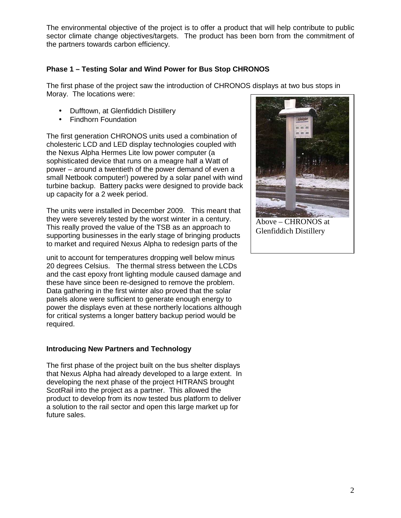The environmental objective of the project is to offer a product that will help contribute to public sector climate change objectives/targets. The product has been born from the commitment of the partners towards carbon efficiency.

### **Phase 1 – Testing Solar and Wind Power for Bus Stop CHRONOS**

The first phase of the project saw the introduction of CHRONOS displays at two bus stops in Moray. The locations were:

- Dufftown, at Glenfiddich Distillery
- Findhorn Foundation

The first generation CHRONOS units used a combination of cholesteric LCD and LED display technologies coupled with the Nexus Alpha Hermes Lite low power computer (a sophisticated device that runs on a meagre half a Watt of power – around a twentieth of the power demand of even a small Netbook computer!) powered by a solar panel with wind turbine backup. Battery packs were designed to provide back up capacity for a 2 week period.

The units were installed in December 2009. This meant that they were severely tested by the worst winter in a century. This really proved the value of the TSB as an approach to supporting businesses in the early stage of bringing products to market and required Nexus Alpha to redesign parts of the

unit to account for temperatures dropping well below minus 20 degrees Celsius. The thermal stress between the LCDs and the cast epoxy front lighting module caused damage and these have since been re-designed to remove the problem. Data gathering in the first winter also proved that the solar panels alone were sufficient to generate enough energy to power the displays even at these northerly locations although for critical systems a longer battery backup period would be required.

#### **Introducing New Partners and Technology**

The first phase of the project built on the bus shelter displays that Nexus Alpha had already developed to a large extent. In developing the next phase of the project HITRANS brought ScotRail into the project as a partner. This allowed the product to develop from its now tested bus platform to deliver a solution to the rail sector and open this large market up for future sales.



Above – CHRONOS at Glenfiddich Distillery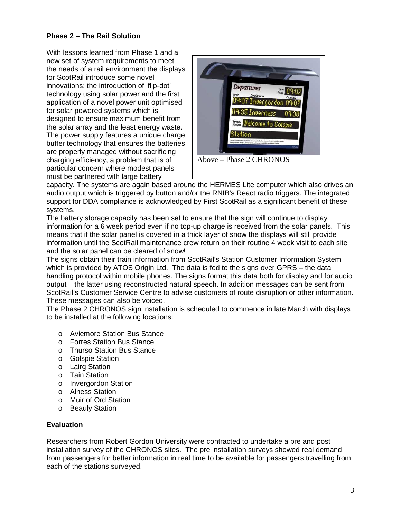# **Phase 2 – The Rail Solution**

With lessons learned from Phase 1 and a new set of system requirements to meet the needs of a rail environment the displays for ScotRail introduce some novel innovations: the introduction of 'flip-dot' technology using solar power and the first application of a novel power unit optimised for solar powered systems which is designed to ensure maximum benefit from the solar array and the least energy waste. The power supply features a unique charge buffer technology that ensures the batteries are properly managed without sacrificing charging efficiency, a problem that is of particular concern where modest panels must be partnered with large battery



capacity. The systems are again based around the HERMES Lite computer which also drives an audio output which is triggered by button and/or the RNIB's React radio triggers. The integrated support for DDA compliance is acknowledged by First ScotRail as a significant benefit of these systems.

The battery storage capacity has been set to ensure that the sign will continue to display information for a 6 week period even if no top-up charge is received from the solar panels. This means that if the solar panel is covered in a thick layer of snow the displays will still provide information until the ScotRail maintenance crew return on their routine 4 week visit to each site and the solar panel can be cleared of snow!

The signs obtain their train information from ScotRail's Station Customer Information System which is provided by ATOS Origin Ltd. The data is fed to the signs over GPRS – the data handling protocol within mobile phones. The signs format this data both for display and for audio output – the latter using reconstructed natural speech. In addition messages can be sent from ScotRail's Customer Service Centre to advise customers of route disruption or other information. These messages can also be voiced.

The Phase 2 CHRONOS sign installation is scheduled to commence in late March with displays to be installed at the following locations:

- o Aviemore Station Bus Stance
- o Forres Station Bus Stance
- o Thurso Station Bus Stance
- o Golspie Station
- o Lairg Station
- o Tain Station
- o Invergordon Station
- o Alness Station
- o Muir of Ord Station
- o Beauly Station

#### **Evaluation**

Researchers from Robert Gordon University were contracted to undertake a pre and post installation survey of the CHRONOS sites. The pre installation surveys showed real demand from passengers for better information in real time to be available for passengers travelling from each of the stations surveyed.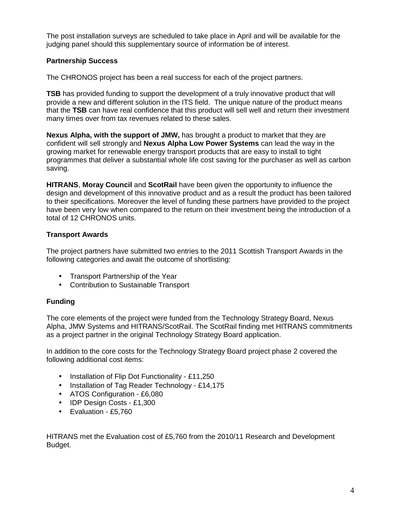The post installation surveys are scheduled to take place in April and will be available for the judging panel should this supplementary source of information be of interest.

## **Partnership Success**

The CHRONOS project has been a real success for each of the project partners.

**TSB** has provided funding to support the development of a truly innovative product that will provide a new and different solution in the ITS field. The unique nature of the product means that the **TSB** can have real confidence that this product will sell well and return their investment many times over from tax revenues related to these sales.

**Nexus Alpha, with the support of JMW,** has brought a product to market that they are confident will sell strongly and **Nexus Alpha Low Power Systems** can lead the way in the growing market for renewable energy transport products that are easy to install to tight programmes that deliver a substantial whole life cost saving for the purchaser as well as carbon saving.

**HITRANS**, **Moray Council** and **ScotRail** have been given the opportunity to influence the design and development of this innovative product and as a result the product has been tailored to their specifications. Moreover the level of funding these partners have provided to the project have been very low when compared to the return on their investment being the introduction of a total of 12 CHRONOS units.

### **Transport Awards**

The project partners have submitted two entries to the 2011 Scottish Transport Awards in the following categories and await the outcome of shortlisting:

- Transport Partnership of the Year
- Contribution to Sustainable Transport

# **Funding**

The core elements of the project were funded from the Technology Strategy Board, Nexus Alpha, JMW Systems and HITRANS/ScotRail. The ScotRail finding met HITRANS commitments as a project partner in the original Technology Strategy Board application.

In addition to the core costs for the Technology Strategy Board project phase 2 covered the following additional cost items:

- Installation of Flip Dot Functionality £11,250
- Installation of Tag Reader Technology £14,175
- ATOS Configuration £6,080
- IDP Design Costs £1,300
- Evaluation £5,760

HITRANS met the Evaluation cost of £5,760 from the 2010/11 Research and Development Budget.